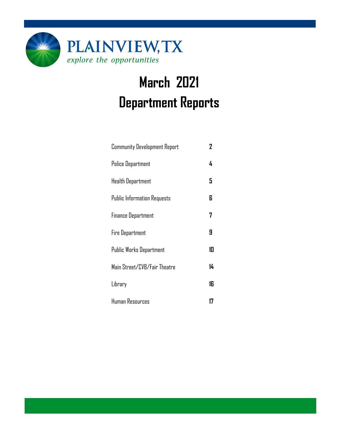

# **March 2021 Department Reports**

| <b>Community Development Report</b> | 2  |
|-------------------------------------|----|
| <b>Police Department</b>            | 4  |
| Health Department                   | 5  |
| <b>Public Information Requests</b>  | 6  |
| <b>Finance Department</b>           | 7  |
| <b>Fire Department</b>              | 9  |
| <b>Public Works Department</b>      | 10 |
| Main Street/CVB/Fair Theatre        | 14 |
| Library                             | 16 |
| Human Resources                     | 17 |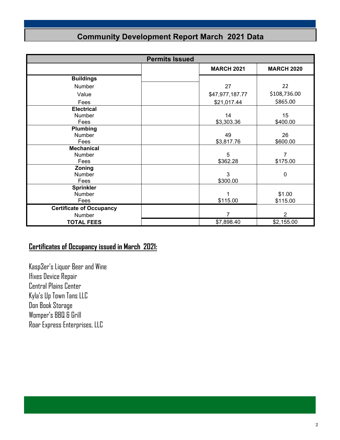### **Community Development Report March 2021 Data**

| <b>Permits Issued</b>           |  |                   |                   |  |
|---------------------------------|--|-------------------|-------------------|--|
|                                 |  | <b>MARCH 2021</b> | <b>MARCH 2020</b> |  |
| <b>Buildings</b>                |  |                   |                   |  |
| <b>Number</b>                   |  | 27                | 22                |  |
| Value                           |  | \$47,977,187.77   | \$108,736.00      |  |
| Fees                            |  | \$21,017.44       | \$865.00          |  |
| <b>Electrical</b>               |  |                   |                   |  |
| Number                          |  | 14                | 15                |  |
| Fees                            |  | \$3,303.36        | \$400.00          |  |
| Plumbing                        |  |                   |                   |  |
| Number                          |  | 49                | 26                |  |
| Fees                            |  | \$3,817.76        | \$600.00          |  |
| <b>Mechanical</b>               |  |                   |                   |  |
| Number                          |  | 5                 | 7                 |  |
| Fees                            |  | \$362.28          | \$175.00          |  |
| Zoning                          |  |                   |                   |  |
| Number                          |  | 3                 | $\mathbf 0$       |  |
| Fees                            |  | \$300.00          |                   |  |
| <b>Sprinkler</b>                |  |                   |                   |  |
| Number                          |  | 1                 | \$1.00            |  |
| Fees                            |  | \$115.00          | \$115.00          |  |
| <b>Certificate of Occupancy</b> |  |                   |                   |  |
| Number                          |  | 7                 | 2                 |  |
| <b>TOTAL FEES</b>               |  | \$7,898.40        | \$2,155.00        |  |

### **Certificates of Occupancy issued in March 2021:**

Kasp3er's Liquor Beer and Wine Ifixes Device Repair Central Plains Center Kyla's Up Town Tans LLC Don Book Storage Womper's BBQ & Grill Roar Express Enterprises, LLC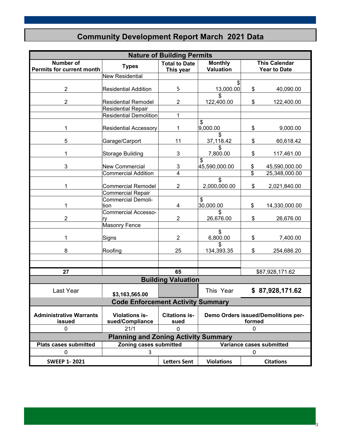### **Community Development Report March 2021 Data**

| <b>Nature of Building Permits</b>                    |                                             |                                   |                                               |                         |                                             |
|------------------------------------------------------|---------------------------------------------|-----------------------------------|-----------------------------------------------|-------------------------|---------------------------------------------|
| <b>Number of</b><br><b>Permits for current month</b> | <b>Types</b>                                | <b>Total to Date</b><br>This year | <b>Monthly</b><br><b>Valuation</b>            |                         | <b>This Calendar</b><br><b>Year to Date</b> |
|                                                      | New Residential                             |                                   |                                               |                         |                                             |
|                                                      |                                             |                                   | \$                                            |                         |                                             |
| $\overline{2}$                                       | <b>Residential Addition</b>                 | 5                                 | 13,000.00                                     | \$                      | 40,090.00                                   |
| $\overline{2}$                                       | <b>Residential Remodel</b>                  | $\overline{2}$                    | 122,400.00                                    | \$                      | 122,400.00                                  |
|                                                      | <b>Residential Repair</b>                   |                                   |                                               |                         |                                             |
|                                                      | <b>Residential Demolition</b>               | 1                                 |                                               |                         |                                             |
| 1                                                    | <b>Residential Accessory</b>                | 1                                 | \$<br>9,000.00                                | \$                      | 9,000.00                                    |
| 5                                                    | Garage/Carport                              | 11                                | 37,118.42                                     | \$                      | 60,618.42                                   |
| 1                                                    | <b>Storage Building</b>                     | 3                                 | 7,800.00                                      | \$                      | 117,461.00                                  |
| 3                                                    | <b>New Commercial</b>                       | $\mathbf 3$                       | \$<br>45,590,000.00                           | \$                      | 45,590,000.00                               |
|                                                      | <b>Commercial Addition</b>                  | 4                                 |                                               | $\overline{\mathbb{S}}$ | 25,348,000.00                               |
| 1                                                    | <b>Commercial Remodel</b>                   | $\overline{2}$                    | \$<br>2,000,000.00                            | \$                      | 2,021,840.00                                |
|                                                      | <b>Commercial Repair</b>                    |                                   |                                               |                         |                                             |
| 1                                                    | <b>Commercial Demoli-</b><br>tion           | $\overline{\mathbf{4}}$           | \$<br>30,000.00                               | \$                      | 14,330,000.00                               |
| $\overline{2}$                                       | <b>Commercial Accesso-</b><br>ry            | $\overline{2}$                    | \$<br>26,676.00                               | \$                      | 26,676.00                                   |
|                                                      | Masonry Fence                               |                                   |                                               |                         |                                             |
| 1                                                    | Signs                                       | $\overline{2}$                    | \$<br>6,800.00                                | \$                      | 7,400.00                                    |
| 8                                                    | Roofing                                     | 25                                | \$<br>134,393.35                              | \$                      | 254,686.20                                  |
|                                                      |                                             |                                   |                                               |                         |                                             |
|                                                      |                                             |                                   |                                               |                         |                                             |
| 27                                                   |                                             | 65                                |                                               |                         | \$87,928,171.62                             |
|                                                      |                                             | <b>Building Valuation</b>         |                                               |                         |                                             |
| <b>Last Year</b>                                     | \$3,163,565.00                              |                                   | This Year                                     |                         | \$87,928,171.62                             |
|                                                      | <b>Code Enforcement Activity Summary</b>    |                                   |                                               |                         |                                             |
|                                                      |                                             |                                   |                                               |                         |                                             |
| <b>Administrative Warrants</b><br>issued             | <b>Violations is-</b><br>sued/Compliance    | <b>Citations is-</b><br>sued      | Demo Orders issued/Demolitions per-<br>formed |                         |                                             |
| 0                                                    | 21/1                                        | 0                                 | 0                                             |                         |                                             |
|                                                      | <b>Planning and Zoning Activity Summary</b> |                                   |                                               |                         |                                             |
| <b>Plats cases submitted</b>                         | Zoning cases submitted                      |                                   |                                               |                         | Variance cases submitted                    |
| 0                                                    | 3                                           |                                   |                                               | 0                       |                                             |
| <b>SWEEP 1-2021</b>                                  |                                             | <b>Letters Sent</b>               | <b>Violations</b>                             |                         | <b>Citations</b>                            |

3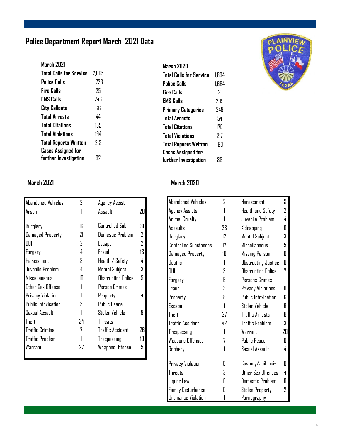### **Police Department Report March 2021 Data**

#### **March 2021 Total Calls for Service** 2,065 **Police Calls** 1,728 **Fire Calls** 25 **EMS Calls** 246 **City Callouts** 66 **Total Arrests** 44 **Total Citations** 155 **Total Violations** 194 **Total Reports Written** 213 **Cases Assigned for further Investigation** 92

| Abandoned Vehicles         | 2  |                         |    |
|----------------------------|----|-------------------------|----|
|                            |    | Agency Assist           |    |
| Arson                      |    | Assault                 | 20 |
|                            |    |                         |    |
| Burglary                   | 1ĥ | Controlled Sub-         | 31 |
| Damaged Property           | 21 | <b>Domestic Problem</b> | 2  |
| DUI                        | 2  | Escape                  | 2  |
| Forgery                    | 4  | Fraud                   | 13 |
| Harassment                 | 3  | Health / Safety         | 4  |
| Juvenile Problem           | 4  | Mental Subject          | 3  |
| <b>Miscellaneous</b>       | 10 | Obstructing Police      | 5  |
| Other Sex Offense          |    | Person Crimes           |    |
| Privacy Violation          |    | Property                | 4  |
| <b>Public Intoxication</b> | 3  | <b>Public Peace</b>     |    |
| Sexual Assault             |    | Stolen Vehicle          | 9  |
| Theft                      | 34 | <b>Threats</b>          |    |
| <b>Traffic Criminal</b>    | 7  | <b>Traffic Accident</b> | 26 |
| <b>Traffic Problem</b>     |    | Trespassing             | 10 |
| Warrant                    | 27 | Weapons Offense         | 5  |
|                            |    |                         |    |

#### **March 2020 Total Calls for Service** 1,894 **Police Calls** 1,664 **Fire Calls** 21 **EMS Calls** 209 **Primary Categories** 249 **Total Arrests** 54 **Total Citations** 170 **Total Violations** 217 **Total Reports Written** 190 **Cases Assigned for further Investigation** 88



#### **March 2021 March 2020**

| <b>Abandoned Vehicles</b>    | 2              | Harassment                 | 3  |
|------------------------------|----------------|----------------------------|----|
| Agency Assists               | 1              | Health and Safety          | 2  |
| Animal Cruelty               |                | Juvenile Problem           | 4  |
| Assaults                     | 23             | Kidnapping                 | Π  |
| Burglary                     | 12             | Mental Subject             | 3  |
| <b>Controlled Substances</b> | 17             | <b>Miscellaneous</b>       | 5  |
| Damaged Property             | 10             | Missing Person             | Π  |
| Deaths                       | 1              | <b>Obstructing Justice</b> | 0  |
| DUI                          | S.             | <b>Obstructing Police</b>  | 7  |
| Forgery                      | R              | Persons Crimes             | 1  |
| Fraud                        | 3              | Privacy Violations         | Π  |
| Property                     | 8              | <b>Public Intoxication</b> | 6  |
| Escape                       | $\overline{1}$ | Stolen Vehicle             | 6  |
| Theft                        | 27             | <b>Traffic Arrests</b>     | 8  |
| <b>Traffic Accident</b>      | 42             | <b>Traffic Problem</b>     | 3  |
| Trespassing                  | 1              | Warrant                    | 20 |
| Weapons Offenses             | 7              | <b>Public Peace</b>        | Π  |
| Robbery                      |                | Sexual Assault             | 4  |
| Privacy Violation            | Π              | Custody/Jail Inci-         | Π  |
| <b>Threats</b>               | 3              | Other Sex Offenses         | 4  |
| Liquor Law                   | Π              | <b>Domestic Problem</b>    | 0  |
| <b>Family Disturbance</b>    | П              | <b>Stolen Property</b>     | 2  |
| <b>Ordinance Violation</b>   | 1              | <u>Pornography</u>         | 1  |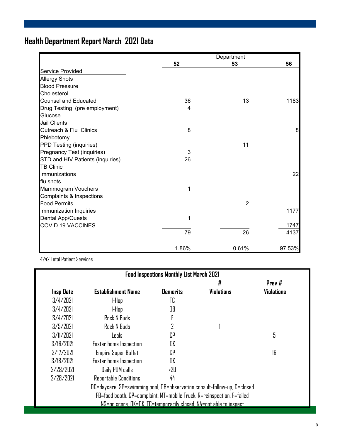### **Health Department Report March 2021 Data**

|                                  |       | Department     |        |
|----------------------------------|-------|----------------|--------|
|                                  | 52    | 53             | 56     |
| <b>Service Provided</b>          |       |                |        |
| <b>Allergy Shots</b>             |       |                |        |
| <b>Blood Pressure</b>            |       |                |        |
| Cholesterol                      |       |                |        |
| <b>Counsel and Educated</b>      | 36    | 13             | 1183   |
| Drug Testing (pre employment)    | 4     |                |        |
| Glucose                          |       |                |        |
| <b>Jail Clients</b>              |       |                |        |
| Outreach & Flu Clinics           | 8     |                | 8      |
| Phlebotomy                       |       |                |        |
| PPD Testing (inquiries)          |       | 11             |        |
| Pregnancy Test (inquiries)       | 3     |                |        |
| STD and HIV Patients (inquiries) | 26    |                |        |
| <b>TB Clinic</b>                 |       |                |        |
| Immunizations                    |       |                | 22     |
| flu shots                        |       |                |        |
| Mammogram Vouchers               | 1     |                |        |
| Complaints & Inspections         |       |                |        |
| <b>Food Permits</b>              |       | $\overline{2}$ |        |
| Immunization Inquiries           |       |                | 1177   |
| Dental App/Quests                | 1     |                |        |
| <b>COVID 19 VACCINES</b>         |       |                | 1747   |
|                                  | 79    | 26             | 4137   |
|                                  | 1.86% | 0.61%          | 97.53% |

4242 Total Patient Services

| <b>Food Inspections Monthly List March 2021</b>                        |                                                                          |                 |                   |                   |  |  |
|------------------------------------------------------------------------|--------------------------------------------------------------------------|-----------------|-------------------|-------------------|--|--|
|                                                                        |                                                                          |                 | #                 | Prev #            |  |  |
| <b>Insp Date</b>                                                       | <b>Establishment Name</b>                                                | <b>Demerits</b> | <b>Violations</b> | <b>Violations</b> |  |  |
| 3/4/2021                                                               | l-Hop                                                                    | TC              |                   |                   |  |  |
| 3/4/2021                                                               | l-Hap                                                                    | OB              |                   |                   |  |  |
| 3/4/2021                                                               | Rock N Buds                                                              |                 |                   |                   |  |  |
| 3/5/2021                                                               | Rock N Buds                                                              | 7               |                   |                   |  |  |
| 3/11/2021                                                              | Leals:                                                                   | СP              |                   | 5                 |  |  |
| 3/IR/7 <sub>0</sub>                                                    | Foster home Inspection                                                   | OK              |                   |                   |  |  |
| 3/17/2021                                                              | <b>Empire Super Buffet</b>                                               | r.P             |                   | 16                |  |  |
| 3/18/2021                                                              | Foster home Inspection                                                   | OK              |                   |                   |  |  |
| 2/28/2021                                                              | Daily PUM calls                                                          | >20             |                   |                   |  |  |
| 2/28/2021                                                              | Reportable Conditions                                                    | 44              |                   |                   |  |  |
|                                                                        | DC=daycare, SP=swimming pool, OB=observation consult-follow-up, C=closed |                 |                   |                   |  |  |
| FB=food booth, CP=complaint, MT=mobile Truck, R=reinspection, F=failed |                                                                          |                 |                   |                   |  |  |
|                                                                        | NS=no score, OK=OK, TC=temporarily closed, NA=not able to inspect        |                 |                   |                   |  |  |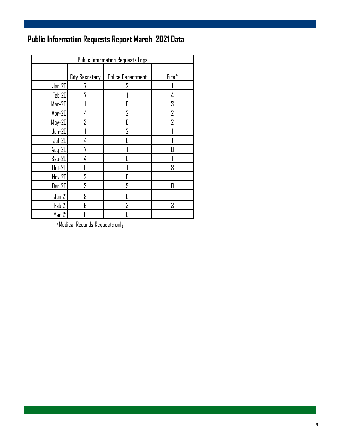### **Public Information Requests Report March 2021 Data**

| Public Information Requests Logs |                |                          |       |  |  |
|----------------------------------|----------------|--------------------------|-------|--|--|
|                                  | City Secretary | <b>Police Department</b> | Fire* |  |  |
| Jan 20                           |                | 7                        |       |  |  |
| <b>Feb 20</b>                    |                |                          | 4     |  |  |
| $Mar-20$                         |                | П                        | 3     |  |  |
| $Apr-20$                         | 4              | 7                        | 7     |  |  |
| $May-20$                         | 3              | П                        | 7     |  |  |
| $Jun-20$                         |                | 7                        |       |  |  |
| $Jul-20$                         | 4              | П                        |       |  |  |
| $Aug-20$                         | 7              |                          |       |  |  |
| $Sep-20$                         | 4              |                          |       |  |  |
| $0ct-20$                         | II             |                          | Χ     |  |  |
| Nov 20                           | 2              | Π                        |       |  |  |
| Dec 20                           | 3              | 5                        | П     |  |  |
| Jan 21                           | 8              | П                        |       |  |  |
| Feb 21                           | Я              | 3                        | 3     |  |  |
| Mar 21                           |                | O                        |       |  |  |

 $\,$ \*Medical Records Requests only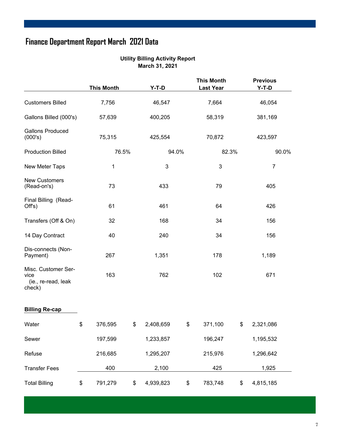## **Finance Department Report March 2021 Data**

|                       |  | <b>Utility Billing Activity Report</b> |
|-----------------------|--|----------------------------------------|
| <b>March 31, 2021</b> |  |                                        |

|                                                              | <b>This Month</b> | $Y-T-D$         | <b>This Month</b><br><b>Last Year</b> | <b>Previous</b><br>Y-T-D |  |
|--------------------------------------------------------------|-------------------|-----------------|---------------------------------------|--------------------------|--|
| <b>Customers Billed</b>                                      | 7,756             | 46,547          | 7,664                                 | 46,054                   |  |
| Gallons Billed (000's)                                       | 57,639            | 400,205         | 58,319                                | 381,169                  |  |
| <b>Gallons Produced</b><br>(000's)                           | 75,315            | 425,554         | 70,872                                | 423,597                  |  |
| <b>Production Billed</b>                                     | 76.5%             | 94.0%           | 82.3%                                 | 90.0%                    |  |
| New Meter Taps                                               | 1                 | 3               | $\mathbf{3}$                          | $\overline{7}$           |  |
| <b>New Customers</b><br>(Read-on's)                          | 73                | 433             | 79                                    | 405                      |  |
| Final Billing (Read-<br>Off's)                               | 61                | 461             | 64                                    | 426                      |  |
| Transfers (Off & On)                                         | 32                | 168             | 34                                    | 156                      |  |
| 14 Day Contract                                              | 40                | 240             | 34                                    | 156                      |  |
| Dis-connects (Non-<br>Payment)                               | 267               | 1,351           | 178                                   | 1,189                    |  |
| Misc. Customer Ser-<br>vice<br>(ie., re-read, leak<br>check) | 163               | 762             | 102                                   | 671                      |  |
| <b>Billing Re-cap</b>                                        |                   |                 |                                       |                          |  |
| Water                                                        | \$<br>376,595     | \$<br>2,408,659 | \$<br>371,100                         | \$<br>2,321,086          |  |
| Sewer                                                        | 197,599           | 1,233,857       | 196,247                               | 1,195,532                |  |
| Refuse                                                       | 216,685           | 1,295,207       | 215,976                               | 1,296,642                |  |
| <b>Transfer Fees</b>                                         | 400               | 2,100           | 425                                   | 1,925                    |  |
| <b>Total Billing</b>                                         | \$<br>791,279     | \$<br>4,939,823 | \$<br>783,748                         | \$<br>4,815,185          |  |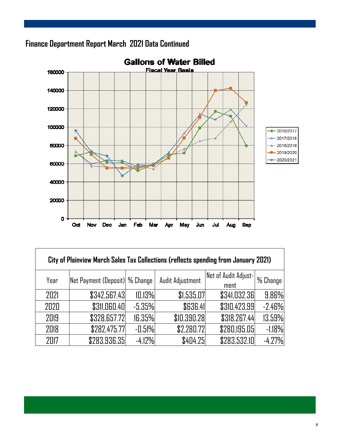

Г



| City of Plainview March Sales Tax Collections (reflects spending from January 2021) |                                 |          |                  |                      |          |  |  |  |
|-------------------------------------------------------------------------------------|---------------------------------|----------|------------------|----------------------|----------|--|--|--|
| Year                                                                                | Net Payment (Deposit)  % Change |          | Audit Adjustment | Net of Audit Adjust- | % Change |  |  |  |
|                                                                                     |                                 |          |                  | ment                 |          |  |  |  |
| 2021                                                                                | \$342,567.43                    | 10.13%   | \$1,535.07       | \$341,032.36         | 9.86%    |  |  |  |
| 2020                                                                                | <b>\$311,060.40</b>             | $-5.35%$ | \$636.41         | \$310,423.99         | $-2.46%$ |  |  |  |
| 2019                                                                                | \$328,657.72                    | 16.35%   | \$10,390.28      | \$318,267.44         | 13.59%   |  |  |  |
| 2018                                                                                | \$282,475.77                    | $-0.51%$ | \$2,280.72       | \$280,195.05         | $-1.18%$ |  |  |  |
| 2017                                                                                | \$283,936.35                    | $-4.12%$ | \$404.25         | \$283,532.10         | $-4.27%$ |  |  |  |

٦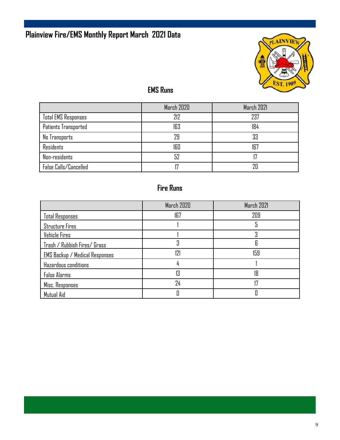### **Plainview Fire/EMS Monthly Report March 2021 Data**



### **EMS Runs**

|                            | March 2020 | March 2021 |
|----------------------------|------------|------------|
| <b>Total EMS Responses</b> | 212        | 237        |
| Patients Transported       | 163        | 184        |
| No Transports              | 79         | 33         |
| <b>Residents</b>           | 160        | 167        |
| Non-residents              | 52         |            |
| False Calls/Cancelled      |            | 7Π         |

### **Fire Runs**

|                                | March 2020 | March 2021 |
|--------------------------------|------------|------------|
| <b>Total Responses</b>         | 167        | 209        |
| <b>Structure Fires</b>         |            |            |
| Vehicle Fires                  |            |            |
| Trash / Rubbish Fires/ Grass   |            | 6          |
| EMS Backup / Medical Responses | 171        | 159        |
| Hazardous conditions           |            |            |
| <b>False Alarms</b>            | 13         | 18         |
| Misc. Responses                | 24         |            |
| Mutual Aid                     |            |            |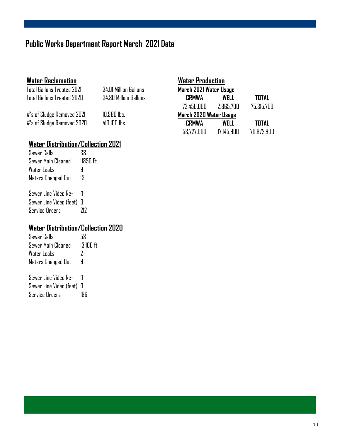### **Public Works Department Report March 2021 Data**

#### **Water Reclamation**

Total Gallons Treated 2021 34.01 Million Gallons Total Gallons Treated 2020 34.80 Million Gallons

 $#$ 's of Sludge Removed 2021  $10,980$  lbs. #'s of Sludge Removed 2020 410,100 lbs.

| <b>Water Production</b> |            |              |  |
|-------------------------|------------|--------------|--|
| March 2021 Water Usage  |            |              |  |
| <b>CRMWA</b>            | WELL       | <b>TOTAL</b> |  |
| 72,450,000              | 2.865.700  | 75,315,700   |  |
| March 2020 Water Usage  |            |              |  |
| <b>CRMWA</b>            | WFI I      | TOTAL        |  |
| 53,727,000              | 17.145.900 | 70.872.900   |  |

#### **Water Distribution/Collection 2021**

| Sewer Calls            | 38      |
|------------------------|---------|
| Sewer Main Cleaned     | 11850Ft |
| Water Leaks            | Ч       |
| Meters Changed Out     | 13      |
| . 0--- I :-- V: J-- D- |         |

Sewer Line Video Re- 0 Sewer Line Video (feet) 0 Service Orders 212

#### **Water Distribution/Collection 2020**

| Sewer Calls          | 53           |
|----------------------|--------------|
| Sewer Main Cleaned   | $13.100$ ft. |
| Water Leaks          | 7            |
| Meters Changed Out   | 9            |
| Sewer Line Video Re- | П            |
|                      |              |

Sewer Line Video (feet) 0 Service Orders 196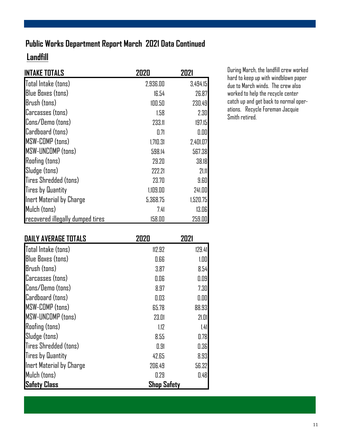### **Public Works Department Report March 2021 Data Continued**

### **Landfill**

| <b>INTAKE TOTALS</b>             | 2020     | 2021     |
|----------------------------------|----------|----------|
| Total Intake (tons)              | 2,936.00 | 3,494.15 |
| <b>Blue Boxes (tons)</b>         | 16.54    | 26.87    |
| Brush (tons)                     | 100.50   | 230.49   |
| Carcasses (tons)                 | 1.58     | 2.30     |
| Cons/Demo (tons)                 | 233.11   | 197.15   |
| Cardboard (tons)                 | 0.71     | 0.00     |
| <b>MSW-COMP</b> (tons)           | 1,710.31 | 2,401.07 |
| <b>MSW-UNCOMP (tons)</b>         | 598.14   | 567.38   |
| <b>Roofing (tons)</b>            | 29.20    | 38.18    |
| Sludge (tons)                    | 222.21   | 21.11    |
| Tires Shredded (tons)            | 23.70    | 9.60     |
| <b>Tires by Quantity</b>         | 1,109.00 | 241.00   |
| Inert Material by Charge         | 5,368.75 | 1,520.75 |
| Mulch (tons)                     | 7.41     | 13.06    |
| recovered illegally dumped tires | 158.00   | 259.00   |

During March, the landfill crew worked hard to keep up with windblown paper due to March winds. The crew also worked to help the recycle center catch up and get back to normal operations. Recycle Foreman Jacquie Smith retired.

| <b>DAILY AVERAGE TOTALS</b> | 2020               | 2021   |
|-----------------------------|--------------------|--------|
| Total Intake (tons)         | 112.92             | 129.41 |
| <b>Blue Boxes (tons)</b>    | 0.66               | 1.00   |
| Brush (tons)                | 3.87               | 8.54   |
| Carcasses (tons)            | 0.06               | 0.09   |
| Cons/Demo (tons)            | 8.97               | 7.30   |
| Cardboard (tons)            | 0.03               | 0.00   |
| MSW-COMP (tons)             | 65.78              | 88.93  |
| MSW-UNCOMP (tons)           | 23.01              | 21.01  |
| <b>Roofing (tons)</b>       | 1.12               | 1.41   |
| Sludge (tons)               | 8.55               | 0.78   |
| Tires Shredded (tons)       | 0.91               | 0.36   |
| <b>Tires by Quantity</b>    | 42.65              | 8.93   |
| Inert Material by Charge    | 206.49             | 56.32  |
| Mulch (tons)                | 0.29               | 0.48   |
| <b>Safety Class</b>         | <b>Shop Safety</b> |        |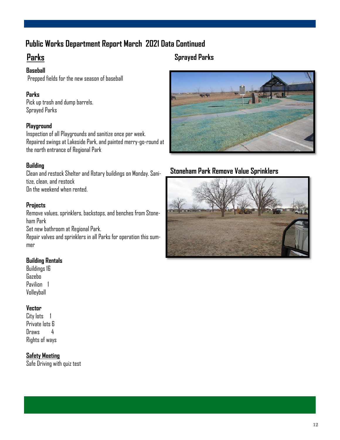### **Public Works Department Report March 2021 Data Continued**

### **Parks**

**Baseball**  Prepped fields for the new season of baseball

#### **Parks**

Pick up trash and dump barrels. Sprayed Parks

#### **Playground**

Inspection of all Playgrounds and sanitize once per week. Repaired swings at Lakeside Park, and painted merry-go-round at the north entrance of Regional Park

#### **Building**

Clean and restock Shelter and Rotary buildings on Monday. Sanitize, clean, and restock On the weekend when rented.

#### **Projects**

Remove values, sprinklers, backstops, and benches from Stoneham Park Set new bathroom at Regional Park.

Repair valves and sprinklers in all Parks for operation this summer

#### **Building Rentals**

Buildings 16 Gazebo Pavilion 1 Volleyball

#### **Vector**

City lots 1 Private lots 6 Draws 4 Rights of ways

#### **Safety Meeting**

Safe Driving with quiz test

#### **Sprayed Parks**



#### **Stoneham Park Remove Value Sprinklers**

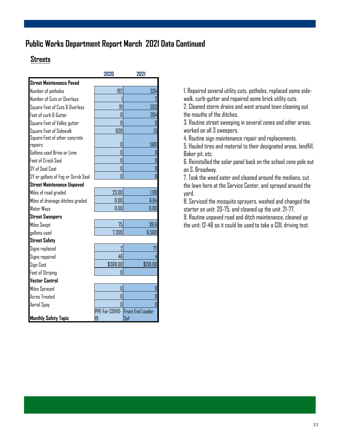#### **Public Works Department Report March 2021 Data Continued**

#### **Streets**

|                                    | 2020           | 2021                            |
|------------------------------------|----------------|---------------------------------|
| <b>Street Maintenance Paved</b>    |                |                                 |
| Number of potholes                 | 192            | 334                             |
| Number of Cuts or Overlays         |                |                                 |
| Square Feet of Cuts & Overlays     | 91             | 503                             |
| Feet of curb & Gutter              | П              | 304                             |
| Square Feet of Valley gutter       | П              | 0                               |
| Square Feet of Sidewalk            | 839            | 13                              |
| Square Feet of other concrete      |                |                                 |
| repairs                            | П              | 580                             |
| Gallons used Brine or Lime         | П              | Π                               |
| <b>Feet of Crack Seal</b>          | П              | O                               |
| SY of Seal Coat                    | Π              | D                               |
| SY or gallons of Fog or Scrub Seal | П              | Π                               |
| <b>Street Maintenance Unpaved</b>  |                |                                 |
| Miles of road graded               | 23.00          | 1.08                            |
| Miles of drainage ditches graded   | 0.00           | 6.64                            |
| Water Ways                         | 0.00           | 0.00                            |
| <b>Street Sweepers</b>             |                |                                 |
| <b>Miles Swept</b>                 | 75             | 39.6                            |
| gallons used                       | 7,300          | 6,500                           |
| <b>Street Safety</b>               |                |                                 |
| Signs replaced                     | $\overline{2}$ | 77                              |
| Signs repaired                     | 46             |                                 |
| Sign Cost                          | \$368.00       | \$210.00                        |
| <b>Feet of Striping</b>            | П              |                                 |
| <b>Vector Control</b>              |                |                                 |
| Miles Sprayed                      | П              | Π                               |
| <b>Acres Treated</b>               | Π              | П                               |
| Aerial Spay                        |                | $\overline{\Pi}$                |
|                                    |                | PPE For COVID-IFront End Loader |
| <b>Monthly Safety Topic</b>        | 19             | Saf                             |

1. Repaired several utility cuts, potholes, replaced some sidewalk, curb-gutter and repaired some brick utility cuts. 2. Cleaned storm drains and went around town cleaning out the mouths of the ditches.

3. Routine street sweeping in several zones and other areas, worked on all 3 sweepers.

4. Routine sign maintenance repair and replacements.

5. Hauled tires and material to their designated areas, landfill, Baker pit, etc.

6. Reinstalled the solar panel back on the school zone pole out on S. Broadway.

7. Took the weed eater and cleaned around the medians, cut the lawn here at the Service Center, and sprayed around the yard.

8. Serviced the mosquito sprayers, washed and changed the starter on unit: 20-75, and cleaned up the unit: 21-77.

9. Routine unpaved road and ditch maintenance, cleaned up the unit: 12-46 so it could be used to take a CDL driving test.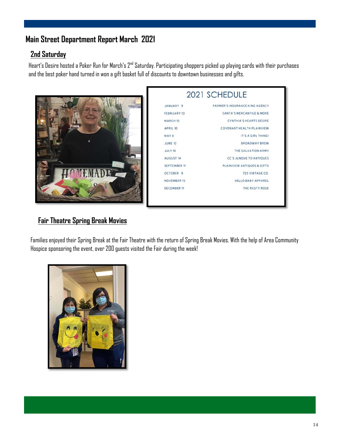### **Main Street Department Report March 2021**

#### **2nd Saturday**

Heart's Desire hosted a Poker Run for March's 2<sup>nd</sup> Saturday. Participating shoppers picked up playing cards with their purchases and the best poker hand turned in won a gift basket full of discounts to downtown businesses and gifts.



|                     | 2021 SCHEDULE                         |
|---------------------|---------------------------------------|
| JANUARY 9           | <b>FARMER'S INSURANCE KING AGENCY</b> |
| FEBRUARY 13         | <b>SANTA'S MERCANTILE &amp; MORE</b>  |
| <b>MARCH 13</b>     | <b>CYNTHIA'S HEARTS DESIRE</b>        |
| APRIL 10            | COVENANT HEALTH PLAINVIEW             |
| MAY 8               | IT'S A GIRL THING!                    |
| <b>JUNE 12</b>      | <b>BROADWAY BREW</b>                  |
| <b>JULY 10</b>      | THE SALVATION ARMY                    |
| <b>AUGUST 14</b>    | <b>CC'S JUNOUE TO ANTIQUES</b>        |
| <b>SEPTEMBER 11</b> | PLAINVIEW ANTIQUES & GIFTS            |
| OCTOBER 9           | 725 VINTAGE CO.                       |
| <b>NOVEMBER 13</b>  | <b>HELLO BABY APPAREL</b>             |
| <b>DECEMBER 11</b>  | THE RUSTY ROSE                        |

#### **Fair Theatre Spring Break Movies**

Families enjoyed their Spring Break at the Fair Theatre with the return of Spring Break Movies. With the help of Area Community Hospice sponsoring the event, over 200 guests visited the Fair during the week!

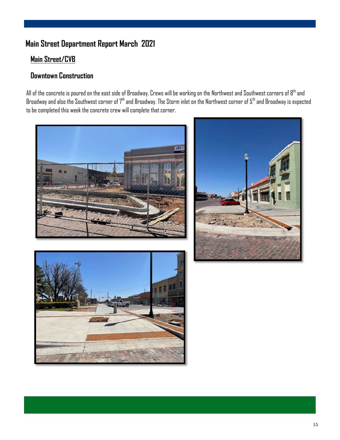### **Main Street Department Report March 2021**

#### **Main Street/CVB**

#### **Downtown Construction**

All of the concrete is poured on the east side of Broadway. Crews will be working on the Northwest and Southwest corners of 8<sup>th</sup> and Broadway and also the Southwest corner of  $7<sup>th</sup>$  and Broadway. The Storm inlet on the Northwest corner of  $5<sup>th</sup>$  and Broadway is expected to be completed this week the concrete crew will complete that corner.





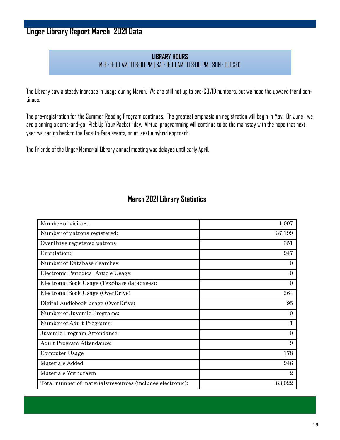### **Unger Library Report March 2021 Data**

#### **LIBRARY HOURS** M-F : 9:00 AM TO 6:00 PM | SAT: 11:00 AM TO 3:00 PM | SUN : CLOSED

The Library saw a steady increase in usage during March. We are still not up to pre-COVID numbers, but we hope the upward trend continues.

The pre-registration for the Summer Reading Program continues. The greatest emphasis on registration will begin in May. On June 1 we are planning a come-and-go "Pick Up Your Packet" day. Virtual programming will continue to be the mainstay with the hope that next year we can go back to the face-to-face events, or at least a hybrid approach.

The Friends of the Unger Memorial Library annual meeting was delayed until early April.

#### **March 2021 Library Statistics**

| Number of visitors:                                        | 1,097          |
|------------------------------------------------------------|----------------|
| Number of patrons registered:                              | 37,199         |
| OverDrive registered patrons                               | 351            |
| Circulation:                                               | 947            |
| Number of Database Searches:                               | $\overline{0}$ |
| Electronic Periodical Article Usage:                       | $\Omega$       |
| Electronic Book Usage (TexShare databases):                | $\Omega$       |
| Electronic Book Usage (OverDrive)                          | 264            |
| Digital Audiobook usage (OverDrive)                        | 95             |
| Number of Juvenile Programs:                               | $\overline{0}$ |
| Number of Adult Programs:                                  | $\mathbf{1}$   |
| Juvenile Program Attendance:                               | $\Omega$       |
| <b>Adult Program Attendance:</b>                           | 9              |
| Computer Usage                                             | 178            |
| Materials Added:                                           | 946            |
| Materials Withdrawn                                        | $\overline{2}$ |
| Total number of materials/resources (includes electronic): | 83,022         |